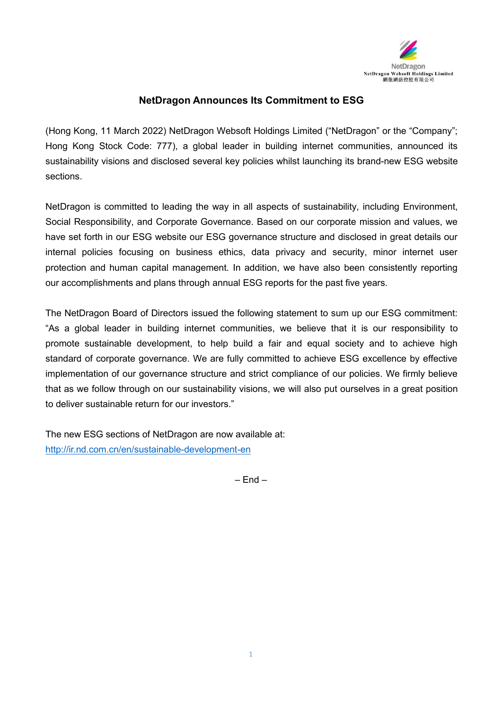

## **NetDragon Announces Its Commitment to ESG**

(Hong Kong, 11 March 2022) NetDragon Websoft Holdings Limited ("NetDragon" or the "Company"; Hong Kong Stock Code: 777), a global leader in building internet communities, announced its sustainability visions and disclosed several key policies whilst launching its brand-new ESG website sections.

NetDragon is committed to leading the way in all aspects of sustainability, including Environment, Social Responsibility, and Corporate Governance. Based on our corporate mission and values, we have set forth in our ESG website our ESG governance structure and disclosed in great details our internal policies focusing on business ethics, data privacy and security, minor internet user protection and human capital management. In addition, we have also been consistently reporting our accomplishments and plans through annual ESG reports for the past five years.

The NetDragon Board of Directors issued the following statement to sum up our ESG commitment: "As a global leader in building internet communities, we believe that it is our responsibility to promote sustainable development, to help build a fair and equal society and to achieve high standard of corporate governance. We are fully committed to achieve ESG excellence by effective implementation of our governance structure and strict compliance of our policies. We firmly believe that as we follow through on our sustainability visions, we will also put ourselves in a great position to deliver sustainable return for our investors."

The new ESG sections of NetDragon are now available at: <http://ir.nd.com.cn/en/sustainable-development-en>

 $-$  Fnd  $-$